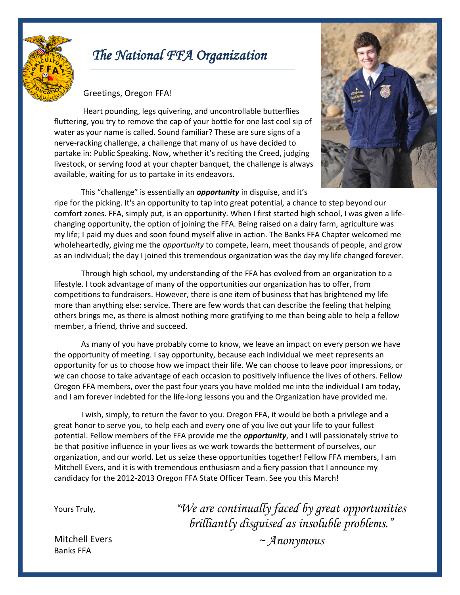

# *The National FFA Organization*

# Greetings, Oregon FFA!

Heart pounding, legs quivering, and uncontrollable butterflies fluttering, you try to remove the cap of your bottle for one last cool sip of water as your name is called. Sound familiar? These are sure signs of a nerve-racking challenge, a challenge that many of us have decided to partake in: Public Speaking. Now, whether it's reciting the Creed, judging livestock, or serving food at your chapter banquet, the challenge is always available, waiting for us to partake in its endeavors.



This "challenge" is essentially an *opportunity* in disguise, and it's ripe for the picking. It's an opportunity to tap into great potential, a chance to step beyond our comfort zones. FFA, simply put, is an opportunity. When I first started high school, I was given a lifechanging opportunity, the option of joining the FFA. Being raised on a dairy farm, agriculture was my life; I paid my dues and soon found myself alive in action. The Banks FFA Chapter welcomed me wholeheartedly, giving me the *opportunity* to compete, learn, meet thousands of people, and grow as an individual; the day I joined this tremendous organization was the day my life changed forever.

Through high school, my understanding of the FFA has evolved from an organization to a lifestyle. I took advantage of many of the opportunities our organization has to offer, from competitions to fundraisers. However, there is one item of business that has brightened my life more than anything else: service. There are few words that can describe the feeling that helping others brings me, as there is almost nothing more gratifying to me than being able to help a fellow member, a friend, thrive and succeed.

As many of you have probably come to know, we leave an impact on every person we have the opportunity of meeting. I say opportunity, because each individual we meet represents an opportunity for us to choose how we impact their life. We can choose to leave poor impressions, or we can choose to take advantage of each occasion to positively influence the lives of others. Fellow Oregon FFA members, over the past four years you have molded me into the individual I am today, and I am forever indebted for the life-long lessons you and the Organization have provided me.

I wish, simply, to return the favor to you. Oregon FFA, it would be both a privilege and a great honor to serve you, to help each and every one of you live out your life to your fullest potential. Fellow members of the FFA provide me the *opportunity*, and I will passionately strive to be that positive influence in your lives as we work towards the betterment of ourselves, our organization, and our world. Let us seize these opportunities together! Fellow FFA members, I am Mitchell Evers, and it is with tremendous enthusiasm and a fiery passion that I announce my candidacy for the 2012-2013 Oregon FFA State Officer Team. See you this March!

Yours Truly,

*"We are continually faced by great opportunities brilliantly disguised as insoluble problems."*

Mitchell Evers Banks FFA

*~ Anonymous*